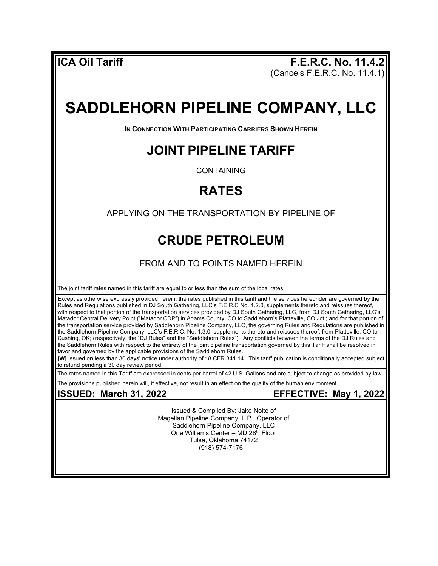**ICA Oil Tariff F.E.R.C. No. 11.4.2** (Cancels F.E.R.C. No. 11.4.1)

# **SADDLEHORN PIPELINE COMPANY, LLC**

**IN CONNECTION WITH PARTICIPATING CARRIERS SHOWN HEREIN** 

#### **JOINT PIPELINE TARIFF**

CONTAINING

## **RATES**

APPLYING ON THE TRANSPORTATION BY PIPELINE OF

### **CRUDE PETROLEUM**

FROM AND TO POINTS NAMED HEREIN

The joint tariff rates named in this tariff are equal to or less than the sum of the local rates.

Except as otherwise expressly provided herein, the rates published in this tariff and the services hereunder are governed by the Rules and Regulations published in DJ South Gathering, LLC's F.E.R.C No. 1.2.0, supplements thereto and reissues thereof, with respect to that portion of the transportation services provided by DJ South Gathering, LLC, from DJ South Gathering, LLC's Matador Central Delivery Point ("Matador CDP") in Adams County, CO to Saddlehorn's Platteville, CO Jct.; and for that portion of the transportation service provided by Saddlehorn Pipeline Company, LLC, the governing Rules and Regulations are published in the Saddlehorn Pipeline Company, LLC's F.E.R.C. No. 1.3.0, supplements thereto and reissues thereof, from Platteville, CO to Cushing, OK; (respectively, the "DJ Rules" and the "Saddlehorn Rules"). Any conflicts between the terms of the DJ Rules and the Saddlehorn Rules with respect to the entirety of the joint pipeline transportation governed by this Tariff shall be resolved in favor and governed by the applicable provisions of the Saddlehorn Rules.

**[W]** Issued on less than 30 days' notice under authority of 18 CFR 341.14. This tariff publication is conditionally accepted subject **t**o refund pending a 30 day review period.

The rates named in this Tariff are expressed in cents per barrel of 42 U.S. Gallons and are subject to change as provided by law. The provisions published herein will, if effective, not result in an effect on the quality of the human environment.

#### **ISSUED: March 31, 2022 EFFECTIVE: May 1, 2022**

Issued & Compiled By: Jake Nolte of Magellan Pipeline Company, L.P., Operator of Saddlehorn Pipeline Company, LLC One Williams Center – MD 28th Floor Tulsa, Oklahoma 74172 (918) 574-7176